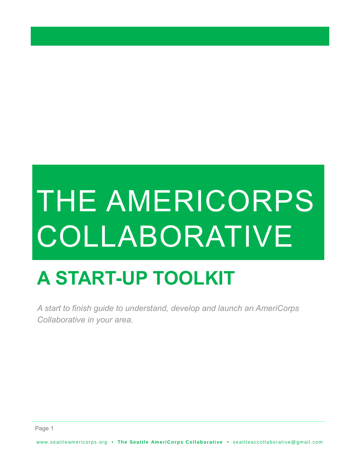# THE AMERICORPS **COLLABORATIVE**

# **A START-UP TOOLKIT**

*A start to finish guide to understand, develop and launch an AmeriCorps Collaborative in your area.*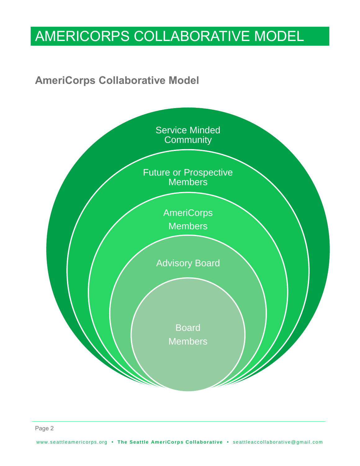# AMERICORPS COLLABORATIVE MODEL

### **AmeriCorps Collaborative Model**

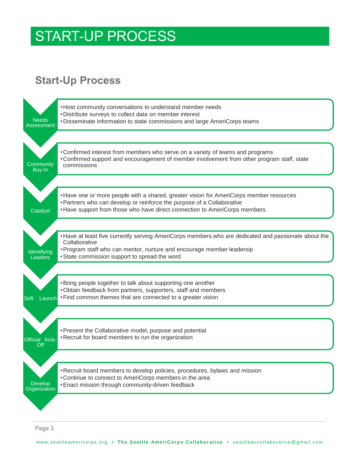### START-UP PROCESS

### **Start-Up Process**



Page 3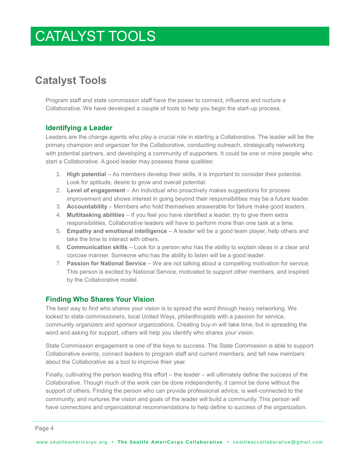### CATALYST TOOLS

### **Catalyst Tools**

Program staff and state commission staff have the power to connect, influence and nurture a Collaborative. We have developed a couple of tools to help you begin the start-up process.

#### **Identifying a Leader**

Leaders are the change agents who play a crucial role in starting a Collaborative. The leader will be the primary champion and organizer for the Collaborative, conducting outreach, strategically networking with potential partners, and developing a community of supporters. It could be one or more people who start a Collaborative. A good leader may possess these qualities:

- 1. **High potential** As members develop their skills, it is important to consider their potential. Look for aptitude, desire to grow and overall potential.
- 2. **Level of engagement** An individual who proactively makes suggestions for process improvement and shows interest in going beyond their responsibilities may be a future leader.
- 3. **Accountability** Members who hold themselves answerable for failure make good leaders.
- 4. **Multitasking abilities** If you feel you have identified a leader, try to give them extra responsibilities. Collaborative leaders will have to perform more than one task at a time.
- 5. **Empathy and emotional intelligence** A leader will be a good team player, help others and take the time to interact with others.
- 6. **Communication skills** Look for a person who has the ability to explain ideas in a clear and concise manner. Someone who has the ability to listen will be a good leader.
- 7. **Passion for National Service**  We are not talking about a compelling motivation for service. This person is excited by National Service, motivated to support other members, and inspired by the Collaborative model.

#### **Finding Who Shares Your Vision**

The best way to find who shares your vision is to spread the word through heavy networking. We looked to state commissioners, local United Ways, philanthropists with a passion for service, community organizers and sponsor organizations. Creating buy-in will take time, but in spreading the word and asking for support, others will help you identify who shares your vision.

State Commission engagement is one of the keys to success. The State Commission is able to support Collaborative events, connect leaders to program staff and current members, and tell new members about the Collaborative as a tool to improve their year.

Finally, cultivating the person leading this effort – the leader – will ultimately define the success of the Collaborative. Though much of the work can be done independently, it cannot be done without the support of others. Finding the person who can provide professional advice, is well-connected to the community, and nurtures the vision and goals of the leader will build a community. This person will have connections and organizational recommendations to help define to success of the organization.

Page 4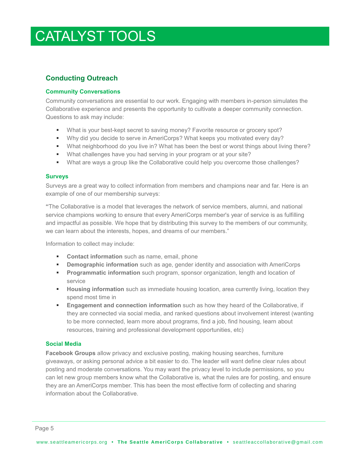## CATALYST TOOLS

#### **Conducting Outreach**

#### **Community Conversations**

Community conversations are essential to our work. Engaging with members in-person simulates the Collaborative experience and presents the opportunity to cultivate a deeper community connection. Questions to ask may include:

- What is your best-kept secret to saving money? Favorite resource or grocery spot?
- Why did you decide to serve in AmeriCorps? What keeps you motivated every day?
- What neighborhood do you live in? What has been the best or worst things about living there?
- What challenges have you had serving in your program or at your site?
- What are ways a group like the Collaborative could help you overcome those challenges?

#### **Surveys**

Surveys are a great way to collect information from members and champions near and far. Here is an example of one of our membership surveys:

**"**The Collaborative is a model that leverages the network of service members, alumni, and national service champions working to ensure that every AmeriCorps member's year of service is as fulfilling and impactful as possible. We hope that by distributing this survey to the members of our community, we can learn about the interests, hopes, and dreams of our members."

Information to collect may include:

- **Contact information** such as name, email, phone
- **Demographic information** such as age, gender identity and association with AmeriCorps
- **Programmatic information** such program, sponsor organization, length and location of service
- **Housing information** such as immediate housing location, area currently living, location they spend most time in
- **Engagement and connection information** such as how they heard of the Collaborative, if they are connected via social media, and ranked questions about involvement interest (wanting to be more connected, learn more about programs, find a job, find housing, learn about resources, training and professional development opportunities, etc)

#### **Social Media**

**Facebook Groups** allow privacy and exclusive posting, making housing searches, furniture giveaways, or asking personal advice a bit easier to do. The leader will want define clear rules about posting and moderate conversations. You may want the privacy level to include permissions, so you can let new group members know what the Collaborative is, what the rules are for posting, and ensure they are an AmeriCorps member. This has been the most effective form of collecting and sharing information about the Collaborative.